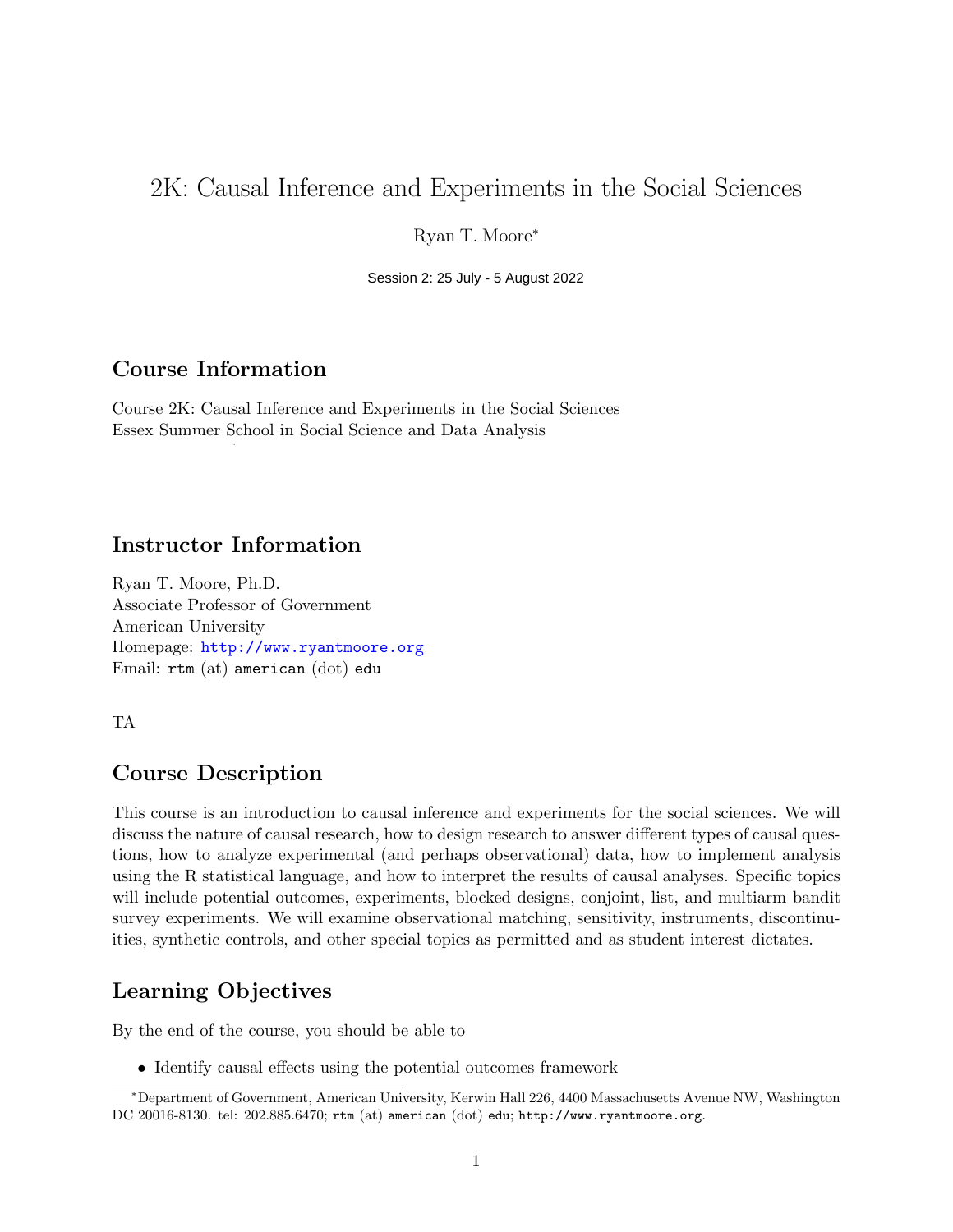# 2K: Causal Inference and Experiments in the Social Sciences

Ryan T. Moore<sup>∗</sup>

2021 Session 2: 25 July - 5 August 2022

# Course Information

Course 2K: Causal Inference and Experiments in the Social Sciences Essex Summer School in Social Science and Data Analysis

# Instructor Information

Ryan T. Moore, Ph.D. Associate Professor of Government American University Homepage: <http://www.ryantmoore.org> Email: rtm (at) american (dot) edu

TA

# Course Description

This course is an introduction to causal inference and experiments for the social sciences. We will discuss the nature of causal research, how to design research to answer different types of causal questions, how to analyze experimental (and perhaps observational) data, how to implement analysis using the R statistical language, and how to interpret the results of causal analyses. Specific topics will include potential outcomes, experiments, blocked designs, conjoint, list, and multiarm bandit survey experiments. We will examine observational matching, sensitivity, instruments, discontinuities, synthetic controls, and other special topics as permitted and as student interest dictates.

# Learning Objectives

By the end of the course, you should be able to

*•* Identify causal effects using the potential outcomes framework

<sup>∗</sup>Department of Government, American University, Kerwin Hall 226, 4400 Massachusetts Avenue NW, Washington DC 20016-8130. tel: 202.885.6470; rtm (at) american (dot) edu; http://www.ryantmoore.org.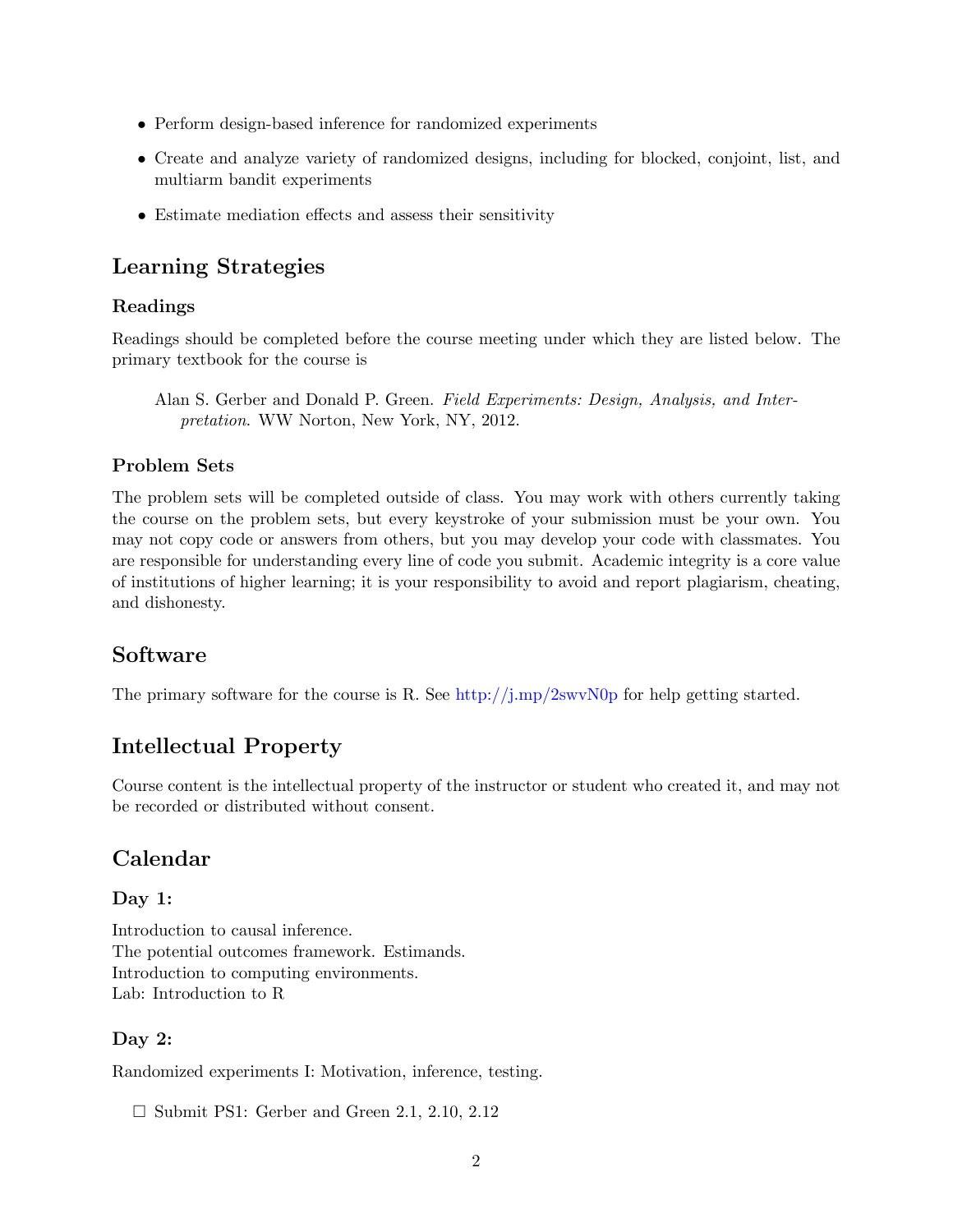- Perform design-based inference for randomized experiments
- Create and analyze variety of randomized designs, including for blocked, conjoint, list, and multiarm bandit experiments
- *•* Estimate mediation effects and assess their sensitivity

# Learning Strategies

### Readings

Readings should be completed before the course meeting under which they are listed below. The primary textbook for the course is

### Problem Sets

The problem sets will be completed outside of class. You may work with others currently taking the course on the problem sets, but every keystroke of your submission must be your own. You may not copy code or answers from others, but you may develop your code with classmates. You are responsible for understanding every line of code you submit. Academic integrity is a core value of institutions of higher learning; it is your responsibility to avoid and report plagiarism, cheating, and dishonesty.

# Software

The primary software for the course is R. See [http://j.mp/2swvN0p](http://www.ryantmoore.org/files/class/introPolResearch/intro_R_short.pdf) for help getting started.

# Intellectual Property

Course content is the intellectual property of the instructor or student who created it, and may not be recorded or distributed without consent.

# Calendar

# Day 1:

Introduction to causal inference. The potential outcomes framework. Estimands. Introduction to computing environments. Lab: Introduction to R

# Day 2:

Randomized experiments I: Motivation, inference, testing.

□ Submit PS1: Gerber and Green 2.1, 2.10, 2.12

Alan S. Gerber and Donald P. Green. *Field Experiments: Design, Analysis, and Interpretation*. WW Norton, New York, NY, 2012.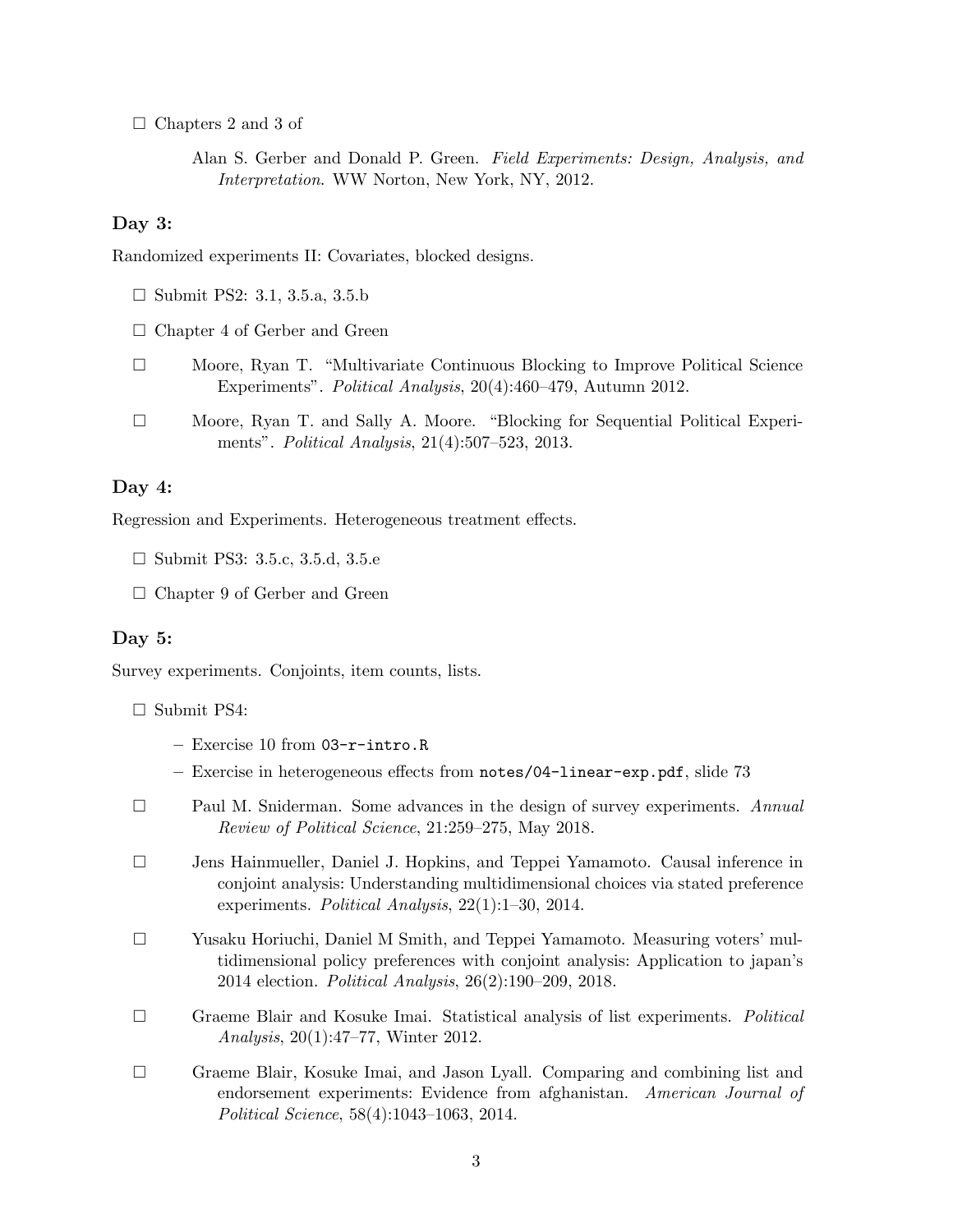□ Chapters 2 and 3 of

Alan S. Gerber and Donald P. Green. *Field Experiments: Design, Analysis, and Interpretation*. WW Norton, New York, NY, 2012.

#### Day 3:

Randomized experiments II: Covariates, blocked designs.

- □ Submit PS2: 3.1, 3.5.a, 3.5.b
- □ Chapter 4 of Gerber and Green
- □ Moore, Ryan T. "Multivariate Continuous Blocking to Improve Political Science Experiments". *Political Analysis*, 20(4):460–479, Autumn 2012.
- □ Moore, Ryan T. and Sally A. Moore. "Blocking for Sequential Political Experiments". *Political Analysis*, 21(4):507–523, 2013.

#### Day 4:

Regression and Experiments. Heterogeneous treatment effects.

□ Submit PS3: 3.5.c, 3.5.d, 3.5.e

□ Chapter 9 of Gerber and Green

#### Day 5:

Survey experiments. Conjoints, item counts, lists.

#### □ Submit PS4:

- Exercise 10 from 03-r-intro.R
- Exercise in heterogeneous effects from notes/04-linear-exp.pdf, slide 73
- □ Paul M. Sniderman. Some advances in the design of survey experiments. *Annual Review of Political Science*, 21:259–275, May 2018.
- □ Jens Hainmueller, Daniel J. Hopkins, and Teppei Yamamoto. Causal inference in conjoint analysis: Understanding multidimensional choices via stated preference experiments. *Political Analysis*, 22(1):1–30, 2014.
- □ Yusaku Horiuchi, Daniel M Smith, and Teppei Yamamoto. Measuring voters' multidimensional policy preferences with conjoint analysis: Application to japan's 2014 election. *Political Analysis*, 26(2):190–209, 2018.
- □ Graeme Blair and Kosuke Imai. Statistical analysis of list experiments. *Political Analysis*, 20(1):47–77, Winter 2012.
- □ Graeme Blair, Kosuke Imai, and Jason Lyall. Comparing and combining list and endorsement experiments: Evidence from afghanistan. *American Journal of Political Science*, 58(4):1043–1063, 2014.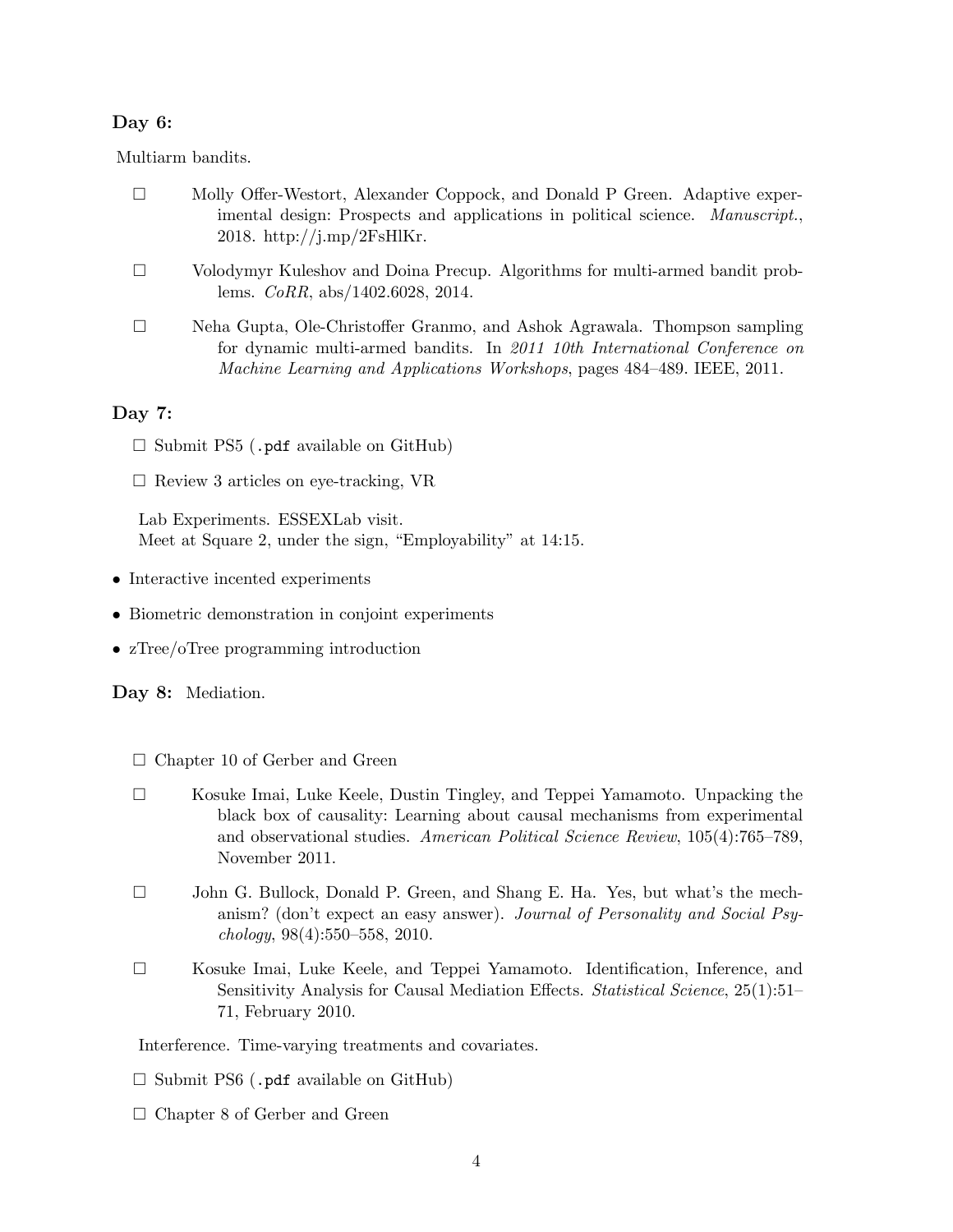#### Day 6:

Multiarm bandits.

| Molly Offer-Westort, Alexander Coppock, and Donald P Green. Adaptive exper-   |
|-------------------------------------------------------------------------------|
| imental design: Prospects and applications in political science. Manuscript., |
| 2018. http://j.mp/2FsHlKr.                                                    |

- □ Volodymyr Kuleshov and Doina Precup. Algorithms for multi-armed bandit problems. *CoRR*, abs/1402.6028, 2014.
- □ Neha Gupta, Ole-Christoffer Granmo, and Ashok Agrawala. Thompson sampling for dynamic multi-armed bandits. In *2011 10th International Conference on Machine Learning and Applications Workshops*, pages 484–489. IEEE, 2011.

#### Day 7:

- $\square$  Submit PS5 (.pdf available on GitHub)
- $\square$  Review 3 articles on eye-tracking, VR

Lab Experiments. ESSEXLab visit. Meet at Square 2, under the sign, "Employability" at 14:15.

- Interactive incented experiments
- *•* Biometric demonstration in conjoint experiments
- zTree/oTree programming introduction

Day 8: Mediation.

- □ Chapter 10 of Gerber and Green
- □ Kosuke Imai, Luke Keele, Dustin Tingley, and Teppei Yamamoto. Unpacking the black box of causality: Learning about causal mechanisms from experimental and observational studies. *American Political Science Review*, 105(4):765–789, November 2011.
- □ John G. Bullock, Donald P. Green, and Shang E. Ha. Yes, but what's the mechanism? (don't expect an easy answer). *Journal of Personality and Social Psychology*, 98(4):550–558, 2010.
- □ Kosuke Imai, Luke Keele, and Teppei Yamamoto. Identification, Inference, and Sensitivity Analysis for Causal Mediation Effects. *Statistical Science*, 25(1):51– 71, February 2010.

Interference. Time-varying treatments and covariates.

- $\square$  Submit PS6 (.pdf available on GitHub)
- □ Chapter 8 of Gerber and Green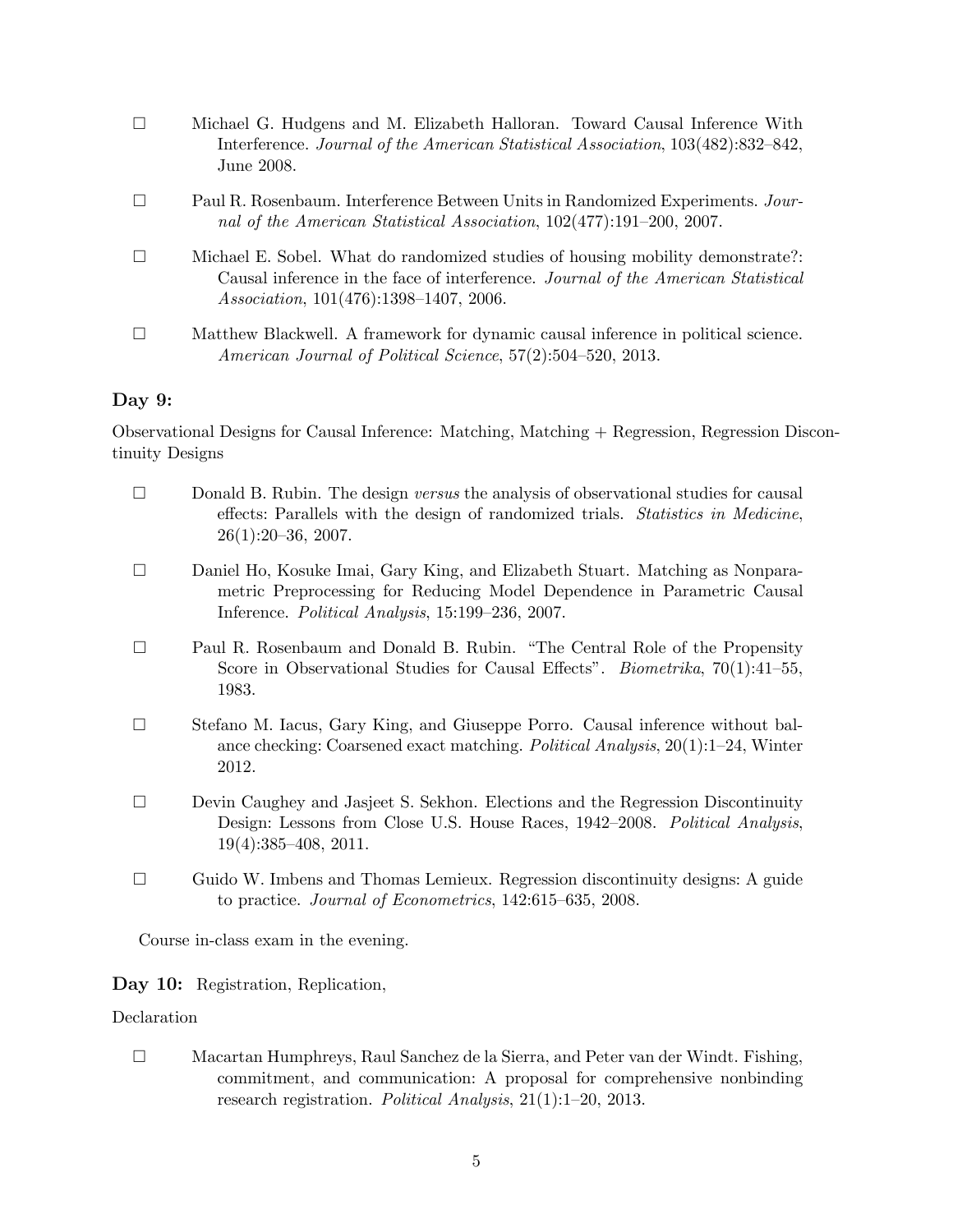|          | Michael G. Hudgens and M. Elizabeth Halloran. Toward Causal Inference With<br>Interference. Journal of the American Statistical Association, 103(482):832–842,<br>June 2008.                                  |
|----------|---------------------------------------------------------------------------------------------------------------------------------------------------------------------------------------------------------------|
|          | Paul R. Rosenbaum. Interference Between Units in Randomized Experiments. Jour-<br>nal of the American Statistical Association, 102(477):191-200, 2007.                                                        |
|          | Michael E. Sobel. What do randomized studies of housing mobility demonstrate?:<br>Causal inference in the face of interference. Journal of the American Statistical<br>Association, 101(476):1398-1407, 2006. |
|          | Matthew Blackwell. A framework for dynamic causal inference in political science.<br>American Journal of Political Science, 57(2):504-520, 2013.                                                              |
| Day $9:$ |                                                                                                                                                                                                               |

Observational Designs for Causal Inference: Matching, Matching + Regression, Regression Discontinuity Designs

- □ Donald B. Rubin. The design *versus* the analysis of observational studies for causal effects: Parallels with the design of randomized trials. *Statistics in Medicine*,  $26(1):20-36, 2007.$
- □ Daniel Ho, Kosuke Imai, Gary King, and Elizabeth Stuart. Matching as Nonparametric Preprocessing for Reducing Model Dependence in Parametric Causal Inference. *Political Analysis*, 15:199–236, 2007.
- □ Paul R. Rosenbaum and Donald B. Rubin. "The Central Role of the Propensity Score in Observational Studies for Causal Effects". *Biometrika*, 70(1):41–55, 1983.
- □ Stefano M. Iacus, Gary King, and Giuseppe Porro. Causal inference without balance checking: Coarsened exact matching. *Political Analysis*, 20(1):1–24, Winter 2012.
- □ Devin Caughey and Jasjeet S. Sekhon. Elections and the Regression Discontinuity Design: Lessons from Close U.S. House Races, 1942–2008. *Political Analysis*, 19(4):385–408, 2011.
- $\square$  Guido W. Imbens and Thomas Lemieux. Regression discontinuity designs: A guide to practice. *Journal of Econometrics*, 142:615–635, 2008.

Course in-class exam in the evening.

#### Day 10: Registration, Replication,

#### Declaration

□ Macartan Humphreys, Raul Sanchez de la Sierra, and Peter van der Windt. Fishing, commitment, and communication: A proposal for comprehensive nonbinding research registration. *Political Analysis*, 21(1):1–20, 2013.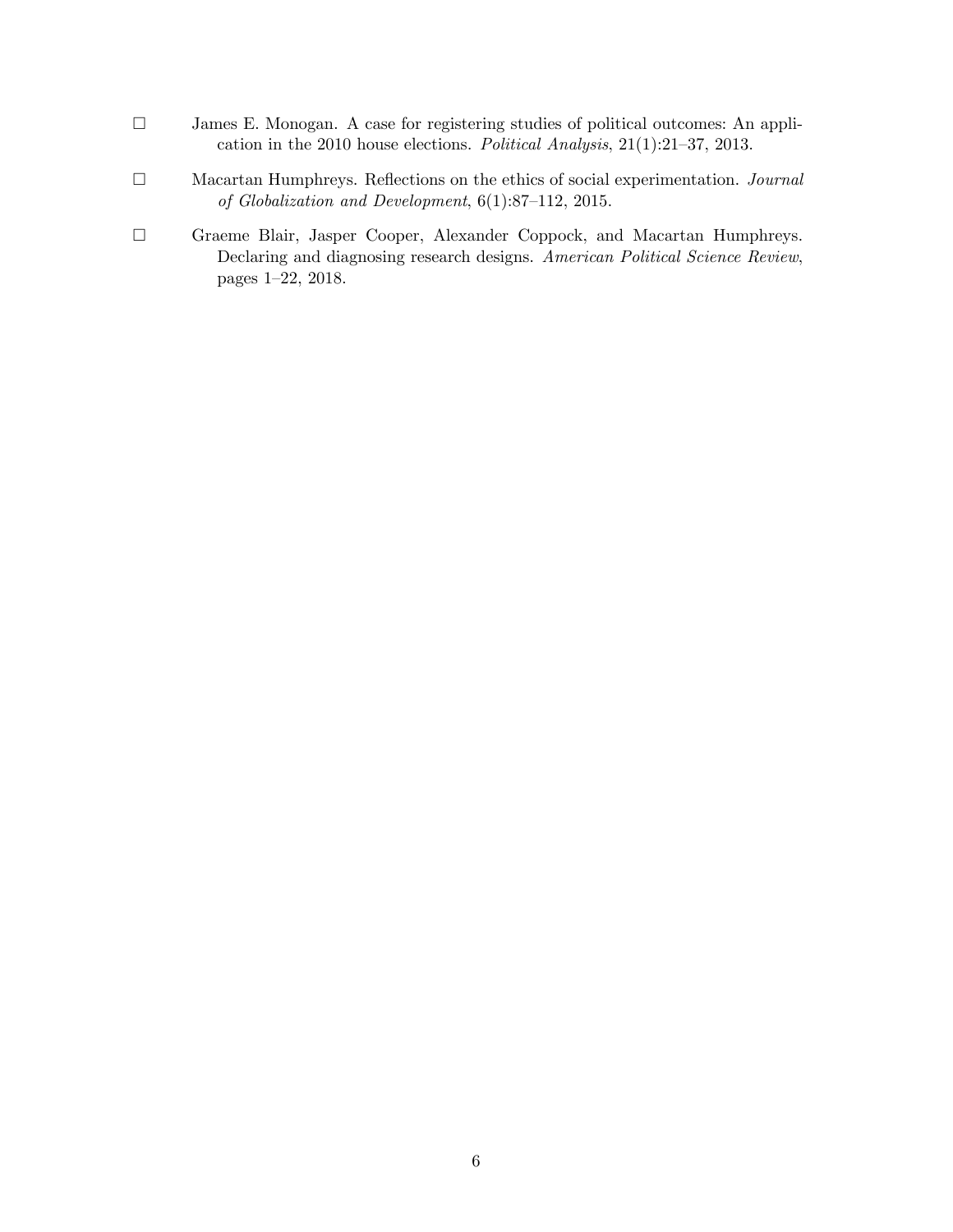- □ James E. Monogan. A case for registering studies of political outcomes: An application in the 2010 house elections. *Political Analysis*, 21(1):21–37, 2013.
- □ Macartan Humphreys. Reflections on the ethics of social experimentation. *Journal of Globalization and Development*, 6(1):87–112, 2015.
- □ Graeme Blair, Jasper Cooper, Alexander Coppock, and Macartan Humphreys. Declaring and diagnosing research designs. *American Political Science Review*, pages 1–22, 2018.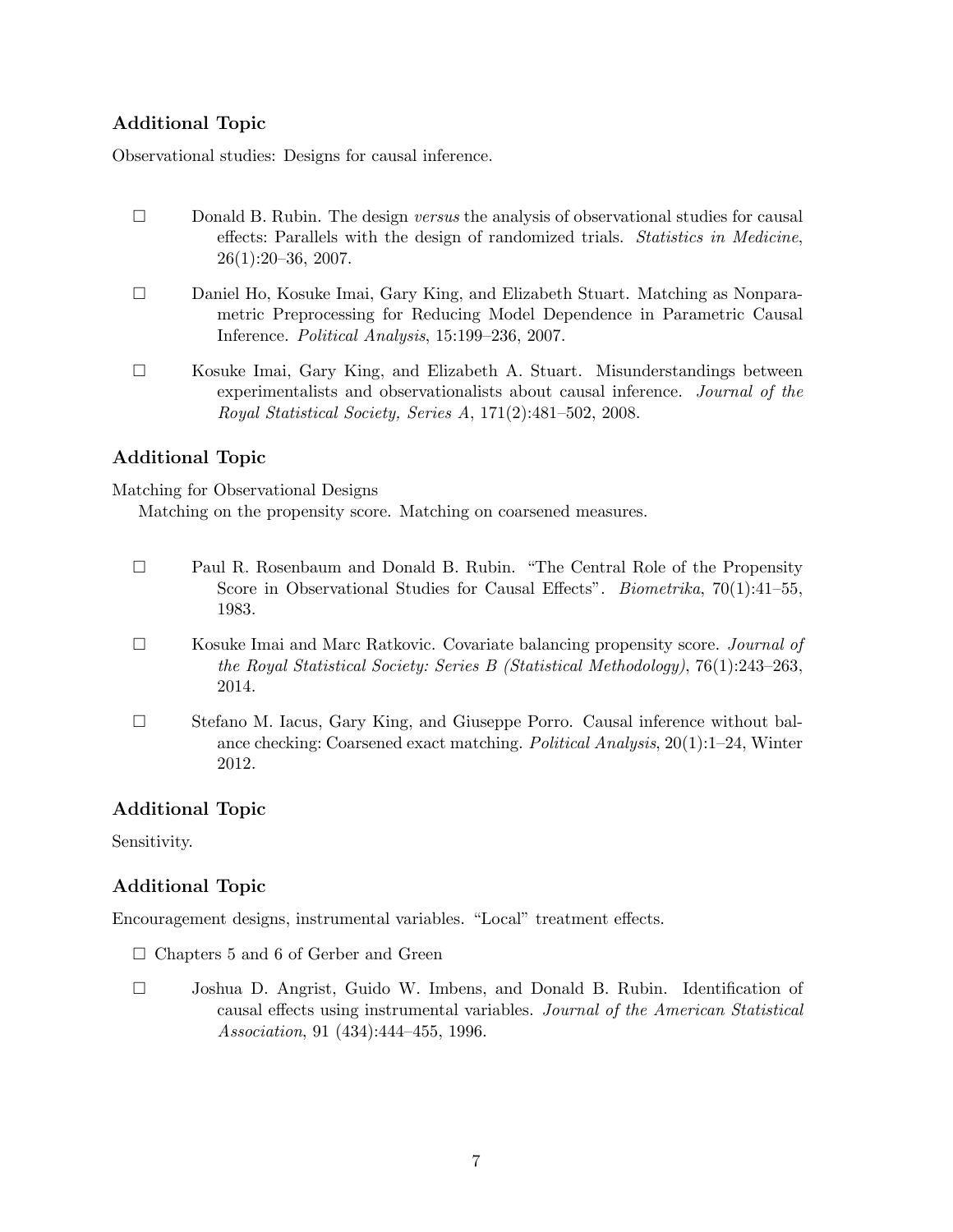## Additional Topic

Observational studies: Designs for causal inference.

- □ Donald B. Rubin. The design *versus* the analysis of observational studies for causal effects: Parallels with the design of randomized trials. *Statistics in Medicine*, 26(1):20–36, 2007.
- □ Daniel Ho, Kosuke Imai, Gary King, and Elizabeth Stuart. Matching as Nonparametric Preprocessing for Reducing Model Dependence in Parametric Causal Inference. *Political Analysis*, 15:199–236, 2007.
- $\square$  Kosuke Imai, Gary King, and Elizabeth A. Stuart. Misunderstandings between experimentalists and observationalists about causal inference. *Journal of the Royal Statistical Society, Series A*, 171(2):481–502, 2008.

### Additional Topic

Matching for Observational Designs

Matching on the propensity score. Matching on coarsened measures.

- □ Paul R. Rosenbaum and Donald B. Rubin. "The Central Role of the Propensity Score in Observational Studies for Causal Effects". *Biometrika*, 70(1):41–55, 1983.
- □ Kosuke Imai and Marc Ratkovic. Covariate balancing propensity score. *Journal of the Royal Statistical Society: Series B (Statistical Methodology)*, 76(1):243–263, 2014.
- □ Stefano M. Iacus, Gary King, and Giuseppe Porro. Causal inference without balance checking: Coarsened exact matching. *Political Analysis*, 20(1):1–24, Winter 2012.

### Additional Topic

Sensitivity.

# Additional Topic

Encouragement designs, instrumental variables. "Local" treatment effects.

- $\square$  Chapters 5 and 6 of Gerber and Green
- □ Joshua D. Angrist, Guido W. Imbens, and Donald B. Rubin. Identification of causal effects using instrumental variables. *Journal of the American Statistical Association*, 91 (434):444–455, 1996.